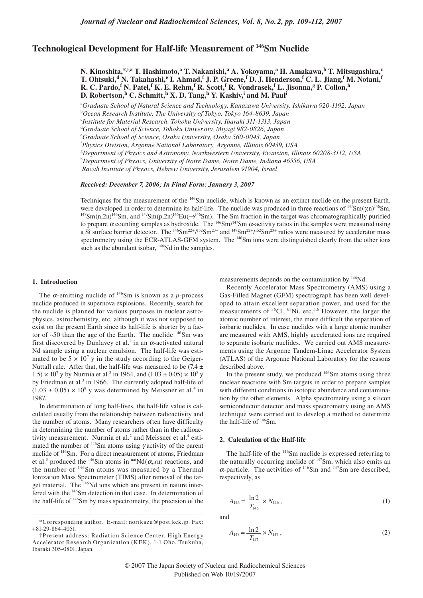# **Technological Development for Half-life Measurement of 146Sm Nuclide**

**N. Kinoshita,\*,†,a T. Hashimoto,<sup>a</sup> T. Nakanishi,<sup>a</sup> A. Yokoyama,<sup>a</sup> H. Amakawa,b T. Mitsugashira,c**  $T$ . Ohtsuki,<sup>d</sup> N. Takahashi,<sup>e</sup> I. Ahmad,<sup>f</sup> J. P. Greene,<sup>f</sup> D. J. Henderson,<sup>f</sup> C. L. Jiang,<sup>f</sup> M. Notani,<sup>f</sup> **R. C. Pardo,<sup>f</sup> N. Patel,<sup>f</sup> K. E. Rehm,<sup>f</sup> R. Scott,<sup>f</sup> R. Vondrasek,<sup>f</sup> L. Jisonna,<sup>g</sup> P. Collon,<sup>h</sup> D. Robertson,<sup>h</sup> C. Schmitt,<sup>h</sup> X. D. Tang,<sup>h</sup> Y. Kashiv,<sup>i</sup> and M. Paul<sup>i</sup>** 

a *Graduate School of Natural Science and Technology, Kanazawa University, Ishikawa 920-1192, Japan*

b *Ocean Research Institute, The University of Tokyo, Tokyo 164-8639, Japan*

c *Institute for Material Research, Tohoku University, Ibaraki 311-1313, Japan*

d *Graduate School of Science, Tohoku University, Miyagi 982-0826, Japan*

f *Physics Division, Argonne National Laboratory, Argonne, Illinois 60439, USA*

g *Department of Physics and Astronomy, Northwestern University, Evanston, Illinois 60208-3112, USA*

h *Department of Physics, University of Notre Dame, Notre Dame, Indiana 46556, USA*

i *Racah Institute of Physics, Hebrew University, Jerusalem 91904, Israel*

## *Received: December 7, 2006; In Final Form: January 3, 2007*

Techniques for the measurement of the <sup>146</sup>Sm nuclide, which is known as an extinct nuclide on the present Earth, were developed in order to determine its half-life. The nuclide was produced in three reactions of  $^{147}Sm(\gamma n)^{146}Sm$ ,  $^{147}Sm(n,2n)^{146}Sm$ , and  $^{147}Sm(p,2n)^{146}Eu(\rightarrow)^{146}Sm)$ . The Sm fraction in the target was chromatograp to prepare  $\alpha$  counting samples as hydroxide. The <sup>146</sup>Sm/<sup>147</sup>Sm  $\alpha$ -activity ratios in the samples were measured using a Si surface barrier detector. The  $\frac{146}{5}$ m<sup>22+</sup>/ $\frac{152}{5}$ m<sup>23+</sup> and  $\frac{147}{5}$ m<sup>22+</sup>/ $\frac{152}{5}$ m<sup>23+</sup> ratios were measured by accelerator mass spectrometry using the ECR-ATLAS-GFM system. The <sup>146</sup>Sm ions were distinguished clearly from the other ions such as the abundant isobar, <sup>146</sup>Nd in the samples.

# **1. Introduction**

The  $\alpha$ -emitting nuclide of  $146$ Sm is known as a *p*-process nuclide produced in supernova explosions. Recently, search for the nuclide is planned for various purposes in nuclear astrophysics, astrochemistry, etc. although it was not supposed to exist on the present Earth since its half-life is shorter by a factor of  $\sim$ 50 than the age of the Earth. The nuclide  $146$ Sm was first discovered by Dunlavey et al.<sup>1</sup> in an  $\alpha$ -activated natural Nd sample using a nuclear emulsion. The half-life was estimated to be  $5 \times 10^7$  y in the study according to the Geiger-Nuttall rule. After that, the half-life was measured to be  $(7.4 \pm 1.00)$  $1.5 \times 10^7$  y by Nurmia et al.<sup>2</sup> in 1964, and  $(1.03 \pm 0.05) \times 10^8$  y by Friedman et al.<sup>3</sup> in 1966. The currently adopted half-life of  $(1.03 \pm 0.05) \times 10^8$  y was determined by Meissner et al.<sup>4</sup> in 1987.

In determination of long half-lives, the half-life value is calculated usually from the relationship between radioactivity and the number of atoms. Many researchers often have difficulty in determining the number of atoms rather than in the radioactivity measurement. Nurmia et al. $^2$  and Meissner et al. $^4$  estimated the number of  $146$ Sm atoms using γ activity of the parent nuclide of 146Sm. For a direct measurement of atoms, Friedman et al.<sup>3</sup> produced the <sup>146</sup>Sm atoms in  $<sup>nat</sup>Nd(\alpha, xn)$  reactions, and</sup> the number of 146Sm atoms was measured by a Thermal Ionization Mass Spectrometer (TIMS) after removal of the target material. The 146Nd ions which are present in nature interfered with the 146Sm detection in that case. In determination of the half-life of 146Sm by mass spectrometry, the precision of the

measurements depends on the contamination by 146Nd.

Recently Accelerator Mass Spectrometry (AMS) using a Gas-Filled Magnet (GFM) spectrograph has been well developed to attain excellent separation power, and used for the measurements of  ${}^{36}$ Cl,  ${}^{63}$ Ni, etc.<sup>5,6</sup> However, the larger the atomic number of interest, the more difficult the separation of isobaric nuclides. In case nuclides with a large atomic number are measured with AMS, highly accelerated ions are required to separate isobaric nuclides. We carried out AMS measurements using the Argonne Tandem-Linac Accelerator System (ATLAS) of the Argonne National Laboratory for the reasons described above.

In the present study, we produced  $146$ Sm atoms using three nuclear reactions with Sm targets in order to prepare samples with different conditions in isotopic abundance and contamination by the other elements. Alpha spectrometry using a silicon semiconductor detector and mass spectrometry using an AMS technique were carried out to develop a method to determine the half-life of  $146$ Sm.

# **2. Calculation of the Half-life**

The half-life of the <sup>146</sup>Sm nuclide is expressed referring to the naturally occurring nuclide of  $147$ Sm, which also emits an  $\alpha$ -particle. The activities of  $146$ Sm and  $147$ Sm are described, respectively, as

$$
A_{146} = \frac{\ln 2}{T_{146}} \times N_{146} , \qquad (1)
$$

and

$$
A_{147} = \frac{\ln 2}{T_{147}} \times N_{147} , \qquad (2)
$$

e *Graduate School of Science, Osaka University, Osaka 560-0043, Japan*

<sup>\*</sup>Corresponding author. E-mail: norikazu@post.kek.jp. Fax: +81-29-864-4051.

<sup>†</sup>Present address: Radiation Science Center, High Energy Accelerator Research Organization (KEK), 1-1 Oho, Tsukuba, Ibaraki 305-0801, Japan.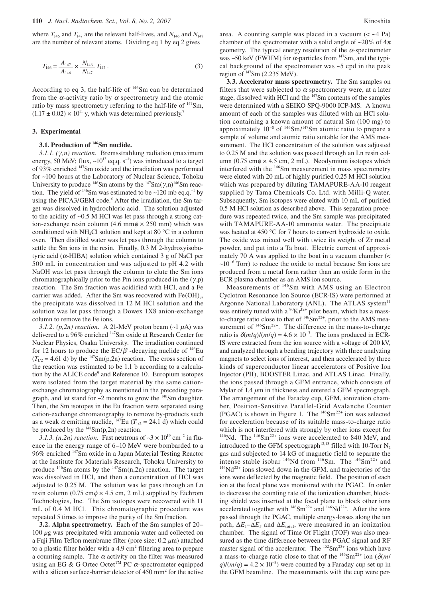where  $T_{146}$  and  $T_{147}$  are the relevant half-lives, and  $N_{146}$  and  $N_{147}$ are the number of relevant atoms. Dividing eq 1 by eq 2 gives

$$
T_{146} = \frac{A_{147}}{A_{146}} \times \frac{N_{146}}{N_{147}} T_{147} . \tag{3}
$$

According to eq 3, the half-life of 146Sm can be determined from the  $\alpha$ -activity ratio by  $\alpha$  spectrometry and the atomic ratio by mass spectrometry referring to the half-life of  $147$ Sm,  $(1.17 \pm 0.02) \times 10^{11}$  y, which was determined previously.<sup>7</sup>

#### **3. Experimental**

## **3.1. Production of 146Sm nuclide.**

*3.1.1. (*γ *,n) reaction.*Bremsstrahlung radiation (maximum energy, 50 MeV; flux,  $\sim 10^{13}$  eq.q. s<sup>-1</sup>) was introduced to a target of 93% enriched 147Sm oxide and the irradiation was performed for ~100 hours at the Laboratory of Nuclear Science, Tohoku University to produce  $146$ Sm atoms by the  $147$ Sm( $\gamma$ ,n) $146$ Sm reaction. The yield of  $^{146}$ Sm was estimated to be ~120 mb eq.q.<sup>-1</sup> by using the PICA3/GEM code.<sup>8</sup> After the irradiation, the Sm target was dissolved in hydrochloric acid. The solution adjusted to the acidity of ~0.5 M HCl was let pass through a strong cation-exchange resin column (4.6 mm $\phi \times 250$  mm) which was conditioned with NH<sub>4</sub>Cl solution and kept at 80  $^{\circ}$ C in a column oven. Then distilled water was let pass through the column to settle the Sm ions in the resin. Finally, 0.3 M 2-hydroxyisobutyric acid ( $\alpha$ -HIBA) solution which contained 3 g of NaCl per 500 mL in concentration and was adjusted to pH 4.2 with NaOH was let pass through the column to elute the Sm ions chromatographically prior to the Pm ions produced in the  $(\gamma, p)$ reaction. The Sm fraction was acidified with HCl, and a Fe carrier was added. After the Sm was recovered with  $Fe(OH)_{3}$ , the precipitate was dissolved in 12 M HCl solution and the solution was let pass through a Dowex 1X8 anion-exchange column to remove the Fe ions.

*3.1.2. (p,2n) reaction.*A 21-MeV proton beam (~1 *µ*A) was delivered to a 96% enriched 147Sm oxide at Research Center for Nuclear Physics, Osaka University. The irradiation continued for 12 hours to produce the  $EC/\beta^*$ -decaying nuclide of <sup>146</sup>Eu  $(T_{1/2} = 4.61 \text{ d})$  by the <sup>147</sup>Sm(p,2n) reaction. The cross section of the reaction was estimated to be 1.1 b according to a calculation by the ALICE code<sup>9</sup> and Reference 10. Europium isotopes were isolated from the target material by the same cationexchange chromatography as mentioned in the preceding paragraph, and let stand for  $\sim$ 2 months to grow the  $\frac{146}{5}$ Sm daughter. Then, the Sm isotopes in the Eu fraction were separated using cation-exchange chromatography to remove by-products such as a weak  $\alpha$  emitting nuclide, <sup>147</sup>Eu ( $T_{1/2}$  = 24.1 d) which could be produced by the  $148$ Sm(p,2n) reaction.

3.1.3. (*n*,2*n*) *reaction*. Fast neutrons of  $\sim$ 3 × 10<sup>19</sup> cm<sup>-2</sup> in fluence in the energy range of 6–10 MeV were bombarded to a 96% enriched 147Sm oxide in a Japan Material Testing Reactor at the Institute for Materials Research, Tohoku University to produce  $146$ Sm atoms by the  $147$ Sm(n,2n) reaction. The target was dissolved in HCl, and then a concentration of HCl was adjusted to 0.25 M. The solution was let pass through an Ln resin column (0.75 cm $\phi \times 4.5$  cm, 2 mL) supplied by Eichrom Technologies, Inc. The Sm isotopes were recovered with 11 mL of 0.4 M HCl. This chromatographic procedure was repeated 5 times to improve the purity of the Sm fraction.

**3.2. Alpha spectrometry.** Each of the Sm samples of 20– 100 *µ*g was precipitated with ammonia water and collected on a Fuji Film Teflon membrane filter (pore size: 0.2 *µ*m) attached to a plastic filter holder with a  $4.9 \text{ cm}^2$  filtering area to prepare a counting sample. The  $\alpha$  activity on the filter was measured using an EG & G Ortec Octet<sup>TM</sup> PC  $\alpha$ -spectrometer equipped with a silicon surface-barrier detector of 450 mm<sup>2</sup> for the active area. A counting sample was placed in a vacuum  $(< -4$  Pa) chamber of the spectrometer with a solid angle of ~20% of  $4\pi$ geometry. The typical energy resolution of the  $\alpha$ -spectrometer was ~50 keV (FWHM) for  $\alpha$ -particles from <sup>147</sup>Sm, and the typical background of the spectrometer was  $\sim$  5 cpd in the peak region of  $^{147}$ Sm (2.235 MeV).

**3.3. Accelerator mass spectrometry.** The Sm samples on filters that were subjected to  $\alpha$  spectrometry were, at a later stage, dissolved with HCl and the 147Sm contents of the samples were determined with a SEIKO SPQ-9000 ICP-MS. A known amount of each of the samples was diluted with an HCl solution containing a known amount of natural Sm (100 mg) to approximately  $10^{-8}$  of  $146$ Sm/ $147$ Sm atomic ratio to prepare a sample of volume and atomic ratio suitable for the AMS measurement. The HCl concentration of the solution was adjusted to 0.25 M and the solution was passed through an Ln resin column (0.75 cm $\phi \times 4.5$  cm, 2 mL). Neodymium isotopes which interfered with the <sup>146</sup>Sm measurement in mass spectrometry were eluted with 20 mL of highly purified 0.25 M HCl solution which was prepared by diluting TAMAPURE-AA-10 reagent supplied by Tama Chemicals Co. Ltd. with Milli-Q water. Subsequently, Sm isotopes were eluted with 10 mL of purified 0.5 M HCl solution as described above. This separation procedure was repeated twice, and the Sm sample was precipitated with TAMAPURE-AA-10 ammonia water. The precipitate was heated at 450 °C for 7 hours to convert hydroxide to oxide. The oxide was mixed well with twice its weight of Zr metal powder, and put into a Ta boat. Electric current of approximately 70 A was applied to the boat in a vacuum chamber (<  $\sim 10^{-6}$  Torr) to reduce the oxide to metal because Sm ions are produced from a metal form rather than an oxide form in the ECR plasma chamber as an AMS ion source.

Measurements of 146Sm with AMS using an Electron Cyclotron Resonance Ion Source (ECR-IS) were performed at Argonne National Laboratory (ANL). The ATLAS system<sup>11</sup> was entirely tuned with a  ${}^{80}\text{Kr}^{12+}$  pilot beam, which has a massto-charge ratio close to that of  $146$ Sm<sup>22+</sup>, prior to the AMS measurement of  $146$ Sm<sup>22+</sup>. The difference in the mass-to-charge ratio is  $\delta(m/q)/(m/q) = 4.6 \times 10^{-3}$ . The ions produced in ECR-IS were extracted from the ion source with a voltage of 200 kV, and analyzed through a bending trajectory with three analyzing magnets to select ions of interest, and then accelerated by three kinds of superconductor linear accelerators of Positive Ion Injector (PII), BOOSTER Linac, and ATLAS Linac. Finally, the ions passed through a GFM entrance, which consists of Mylar of 1.4 *µ*m in thickness and entered a GFM spectrograph. The arrangement of the Faraday cup, GFM, ionization chamber, Position-Sensitive Parallel-Grid Avalanche Counter (PGAC) is shown in Figure 1. The  $146$ Sm<sup>22+</sup> ion was selected for acceleration because of its suitable mass-to-charge ratio which is not interfered with strongly by other ions except for <sup>146</sup>Nd. The <sup>146</sup>Sm<sup>22+</sup> ions were accelerated to 840 MeV, and introduced to the GFM spectrograph<sup>12,13</sup> filled with 10-Torr  $N_2$ gas and subjected to 14 kG of magnetic field to separate the intense stable isobar  $^{146}$ Nd from  $^{146}$ Sm. The  $^{146}$ Sm<sup>22+</sup> and  $^{146}$ Nd<sup>22+</sup> ions slowed down in the GFM, and trajectories of the ions were deflected by the magnetic field. The position of each ion at the focal plane was monitored with the PGAC. In order to decrease the counting rate of the ionization chamber, blocking shield was inserted at the focal plane to block other ions accelerated together with  $146$ Sm<sup>22+</sup> and  $146$ Nd<sup>22+</sup>. After the ions passed through the PGAC, multiple energy-losses along the ion path,  $\Delta E_1 - \Delta E_5$  and  $\Delta E_{total}$ , were measured in an ionization chamber. The signal of Time Of Flight (TOF) was also measured as the time difference between the PGAC signal and RF master signal of the accelerator. The <sup>152</sup>Sm<sup>23+</sup> ions which have a mass-to-charge ratio close to that of the  $146$ Sm<sup>22+</sup> ion ( $\delta$ (*m*/  $q$ /(*m*/*q*) = 4.2 × 10<sup>-3</sup>) were counted by a Faraday cup set up in the GFM beamline. The measurements with the cup were per-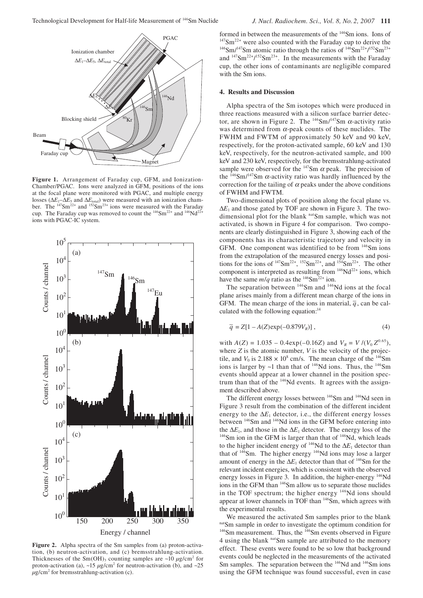

**Figure 1.** Arrangement of Faraday cup, GFM, and Ionization-Chamber/PGAC. Ions were analyzed in GFM, positions of the ions at the focal plane were monitored with PGAC, and multiple energy losses ( $\Delta E_1$ – $\Delta E_5$  and  $\Delta E_{total}$ ) were measured with an ionization chamber. The  $147\text{Sm}^{22+}$  and  $152\text{Sm}^{23+}$  ions were measured with the Faraday cup. The Faraday cup was removed to count the  $\frac{146}{22}$  and  $\frac{146}{122}$ ions with PGAC-IC system.



**Figure 2.** Alpha spectra of the Sm samples from (a) proton-activation, (b) neutron-activation, and (c) bremsstrahlung-activation. Thicknesses of the  $\text{Sm}(\text{OH})_3$  counting samples are ~10  $\mu$ g/cm<sup>2</sup> for proton-activation (a),  $\sim$ 15  $\mu$ g/cm<sup>2</sup> for neutron-activation (b), and  $\sim$ 25  $\mu$ g/cm<sup>2</sup> for bremsstrahlung-activation (c).

formed in between the measurements of the <sup>146</sup>Sm ions. Ions of  $147$ Sm<sup>22+</sup> were also counted with the Faraday cup to derive the  $146$ Sm/<sup>147</sup>Sm atomic ratio through the ratios of  $146$ Sm<sup>22+/152</sup>Sm<sup>23+</sup> and  $147\text{Sm}^{22+}/152\text{Sm}^{23+}$ . In the measurements with the Faraday cup, the other ions of contaminants are negligible compared with the Sm ions.

## **4. Results and Discussion**

Alpha spectra of the Sm isotopes which were produced in three reactions measured with a silicon surface barrier detector, are shown in Figure 2. The  $146$ Sm/ $147$ Sm  $\alpha$ -activity ratio was determined from  $\alpha$ -peak counts of these nuclides. The FWHM and FWTM of approximately 50 keV and 90 keV, respectively, for the proton-activated sample, 60 keV and 130 keV, respectively, for the neutron-activated sample, and 100 keV and 230 keV, respectively, for the bremsstrahlung-activated sample were observed for the  $^{147}$ Sm  $\alpha$  peak. The precision of the  $146$ Sm/<sup>147</sup>Sm  $\alpha$ -activity ratio was hardly influenced by the correction for the tailing of  $\alpha$  peaks under the above conditions of FWHM and FWTM.

Two-dimensional plots of position along the focal plane vs.  $\Delta E_1$  and those gated by TOF are shown in Figure 3. The twodimensional plot for the blank natSm sample, which was not activated, is shown in Figure 4 for comparison. Two components are clearly distinguished in Figure 3, showing each of the components has its characteristic trajectory and velocity in GFM. One component was identified to be from <sup>146</sup>Sm ions from the extrapolation of the measured energy losses and positions for the ions of  $147\,\text{Sm}^{22+}$ ,  $152\,\text{Sm}^{22+}$ , and  $154\,\text{Sm}^{22+}$ . The other component is interpreted as resulting from  $146Nd^{22+}$  ions, which have the same  $m/q$  ratio as the <sup>146</sup>Sm<sup>22+</sup> ion.

The separation between <sup>146</sup>Sm and <sup>146</sup>Nd ions at the focal plane arises mainly from a different mean charge of the ions in GFM. The mean charge of the ions in material,  $\overline{q}$ , can be calculated with the following equation: $14$ 

$$
\overline{q} = Z[1 - A(Z) \exp(-0.879V_R)],
$$
\n(4)

with  $A(Z) = 1.035 - 0.4 \exp(-0.16Z)$  and  $V_R = V/(V_0 Z^{0.65})$ , where *Z* is the atomic number, *V* is the velocity of the projectile, and  $V_0$  is  $2.188 \times 10^8$  cm/s. The mean charge of the <sup>146</sup>Sm ions is larger by  $\sim$ 1 than that of  $\frac{146}{146}$ Nd ions. Thus, the  $\frac{146}{5}$ Sm events should appear at a lower channel in the position spectrum than that of the <sup>146</sup>Nd events. It agrees with the assignment described above.

The different energy losses between <sup>146</sup>Sm and <sup>146</sup>Nd seen in Figure 3 result from the combination of the different incident energy to the ∆*E*1 detector, i.e., the different energy losses between <sup>146</sup>Sm and <sup>146</sup>Nd ions in the GFM before entering into the  $\Delta E_1$ , and those in the  $\Delta E_1$  detector. The energy loss of the 146Sm ion in the GFM is larger than that of <sup>146</sup>Nd, which leads to the higher incident energy of 146Nd to the ∆*E*1 detector than that of <sup>146</sup>Sm. The higher energy <sup>146</sup>Nd ions may lose a larger amount of energy in the  $\Delta E_1$  detector than that of <sup>146</sup>Sm for the relevant incident energies, which is consistent with the observed energy losses in Figure 3. In addition, the higher-energy <sup>146</sup>Nd ions in the GFM than 146Sm allow us to separate those nuclides in the TOF spectrum; the higher energy  $146$ Nd ions should appear at lower channels in TOF than 146Sm, which agrees with the experimental results.

We measured the activated Sm samples prior to the blank natSm sample in order to investigate the optimum condition for 146Sm measurement. Thus, the <sup>146</sup>Sm events observed in Figure 4 using the blank natSm sample are attributed to the memory effect. These events were found to be so low that background events could be neglected in the measurements of the activated Sm samples. The separation between the <sup>146</sup>Nd and <sup>146</sup>Sm ions using the GFM technique was found successful, even in case